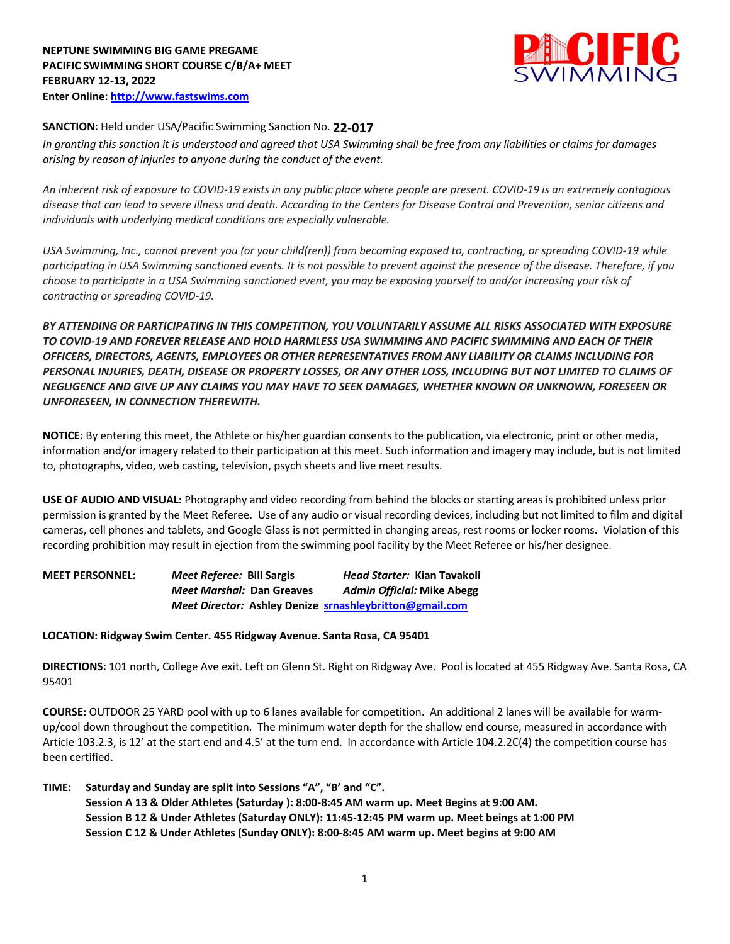

## **SANCTION:** Held under USA/Pacific Swimming Sanction No. **22-017**

*In granting this sanction it is understood and agreed that USA Swimming shall be free from any liabilities or claims for damages arising by reason of injuries to anyone during the conduct of the event.* 

*An inherent risk of exposure to COVID-19 exists in any public place where people are present. COVID-19 is an extremely contagious disease that can lead to severe illness and death. According to the Centers for Disease Control and Prevention, senior citizens and individuals with underlying medical conditions are especially vulnerable.*

*USA Swimming, Inc., cannot prevent you (or your child(ren)) from becoming exposed to, contracting, or spreading COVID-19 while participating in USA Swimming sanctioned events. It is not possible to prevent against the presence of the disease. Therefore, if you choose to participate in a USA Swimming sanctioned event, you may be exposing yourself to and/or increasing your risk of contracting or spreading COVID-19.*

*BY ATTENDING OR PARTICIPATING IN THIS COMPETITION, YOU VOLUNTARILY ASSUME ALL RISKS ASSOCIATED WITH EXPOSURE TO COVID-19 AND FOREVER RELEASE AND HOLD HARMLESS USA SWIMMING AND PACIFIC SWIMMING AND EACH OF THEIR OFFICERS, DIRECTORS, AGENTS, EMPLOYEES OR OTHER REPRESENTATIVES FROM ANY LIABILITY OR CLAIMS INCLUDING FOR PERSONAL INJURIES, DEATH, DISEASE OR PROPERTY LOSSES, OR ANY OTHER LOSS, INCLUDING BUT NOT LIMITED TO CLAIMS OF NEGLIGENCE AND GIVE UP ANY CLAIMS YOU MAY HAVE TO SEEK DAMAGES, WHETHER KNOWN OR UNKNOWN, FORESEEN OR UNFORESEEN, IN CONNECTION THEREWITH.*

**NOTICE:** By entering this meet, the Athlete or his/her guardian consents to the publication, via electronic, print or other media, information and/or imagery related to their participation at this meet. Such information and imagery may include, but is not limited to, photographs, video, web casting, television, psych sheets and live meet results.

**USE OF AUDIO AND VISUAL:** Photography and video recording from behind the blocks or starting areas is prohibited unless prior permission is granted by the Meet Referee. Use of any audio or visual recording devices, including but not limited to film and digital cameras, cell phones and tablets, and Google Glass is not permitted in changing areas, rest rooms or locker rooms. Violation of this recording prohibition may result in ejection from the swimming pool facility by the Meet Referee or his/her designee.

**MEET PERSONNEL:** *Meet Referee:* **Bill Sargis** *Head Starter:* **Kian Tavakoli** *Meet Marshal:* **Dan Greaves** *Admin Official:* **Mike Abegg** *Meet Director:* **Ashley Denize srnashleybritton@gmail.com**

## **LOCATION: Ridgway Swim Center. 455 Ridgway Avenue. Santa Rosa, CA 95401**

**DIRECTIONS:** 101 north, College Ave exit. Left on Glenn St. Right on Ridgway Ave. Pool is located at 455 Ridgway Ave. Santa Rosa, CA 95401

**COURSE:** OUTDOOR 25 YARD pool with up to 6 lanes available for competition. An additional 2 lanes will be available for warmup/cool down throughout the competition. The minimum water depth for the shallow end course, measured in accordance with Article 103.2.3, is 12' at the start end and 4.5' at the turn end. In accordance with Article 104.2.2C(4) the competition course has been certified.

**TIME: Saturday and Sunday are split into Sessions "A", "B' and "C". Session A 13 & Older Athletes (Saturday ): 8:00-8:45 AM warm up. Meet Begins at 9:00 AM. Session B 12 & Under Athletes (Saturday ONLY): 11:45-12:45 PM warm up. Meet beings at 1:00 PM Session C 12 & Under Athletes (Sunday ONLY): 8:00-8:45 AM warm up. Meet begins at 9:00 AM**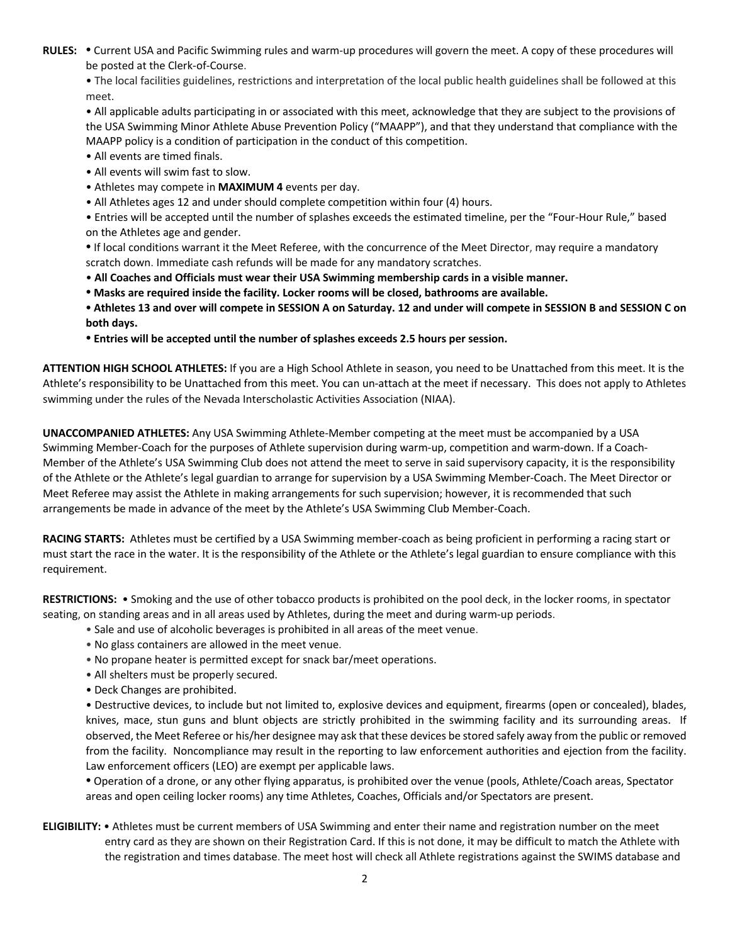**RULES: •** Current USA and Pacific Swimming rules and warm-up procedures will govern the meet. A copy of these procedures will be posted at the Clerk-of-Course.

• The local facilities guidelines, restrictions and interpretation of the local public health guidelines shall be followed at this meet.

• All applicable adults participating in or associated with this meet, acknowledge that they are subject to the provisions of the USA Swimming Minor Athlete Abuse Prevention Policy ("MAAPP"), and that they understand that compliance with the MAAPP policy is a condition of participation in the conduct of this competition.

- All events are timed finals.
- All events will swim fast to slow.
- Athletes may compete in **MAXIMUM 4** events per day.
- All Athletes ages 12 and under should complete competition within four (4) hours.
- Entries will be accepted until the number of splashes exceeds the estimated timeline, per the "Four-Hour Rule," based on the Athletes age and gender.

**•** If local conditions warrant it the Meet Referee, with the concurrence of the Meet Director, may require a mandatory scratch down. Immediate cash refunds will be made for any mandatory scratches.

- **All Coaches and Officials must wear their USA Swimming membership cards in a visible manner.**
- **• Masks are required inside the facility. Locker rooms will be closed, bathrooms are available.**
- **• Athletes 13 and over will compete in SESSION A on Saturday. 12 and under will compete in SESSION B and SESSION C on both days.**
- **• Entries will be accepted until the number of splashes exceeds 2.5 hours per session.**

**ATTENTION HIGH SCHOOL ATHLETES:** If you are a High School Athlete in season, you need to be Unattached from this meet. It is the Athlete's responsibility to be Unattached from this meet. You can un-attach at the meet if necessary. This does not apply to Athletes swimming under the rules of the Nevada Interscholastic Activities Association (NIAA).

**UNACCOMPANIED ATHLETES:** Any USA Swimming Athlete-Member competing at the meet must be accompanied by a USA Swimming Member-Coach for the purposes of Athlete supervision during warm-up, competition and warm-down. If a Coach-Member of the Athlete's USA Swimming Club does not attend the meet to serve in said supervisory capacity, it is the responsibility of the Athlete or the Athlete's legal guardian to arrange for supervision by a USA Swimming Member-Coach. The Meet Director or Meet Referee may assist the Athlete in making arrangements for such supervision; however, it is recommended that such arrangements be made in advance of the meet by the Athlete's USA Swimming Club Member-Coach.

**RACING STARTS:** Athletes must be certified by a USA Swimming member-coach as being proficient in performing a racing start or must start the race in the water. It is the responsibility of the Athlete or the Athlete's legal guardian to ensure compliance with this requirement.

**RESTRICTIONS:** • Smoking and the use of other tobacco products is prohibited on the pool deck, in the locker rooms, in spectator seating, on standing areas and in all areas used by Athletes, during the meet and during warm-up periods.

- Sale and use of alcoholic beverages is prohibited in all areas of the meet venue.
- No glass containers are allowed in the meet venue.
- No propane heater is permitted except for snack bar/meet operations.
- All shelters must be properly secured.
- Deck Changes are prohibited.

• Destructive devices, to include but not limited to, explosive devices and equipment, firearms (open or concealed), blades, knives, mace, stun guns and blunt objects are strictly prohibited in the swimming facility and its surrounding areas. If observed, the Meet Referee or his/her designee may ask that these devices be stored safely away from the public or removed from the facility. Noncompliance may result in the reporting to law enforcement authorities and ejection from the facility. Law enforcement officers (LEO) are exempt per applicable laws.

**•** Operation of a drone, or any other flying apparatus, is prohibited over the venue (pools, Athlete/Coach areas, Spectator areas and open ceiling locker rooms) any time Athletes, Coaches, Officials and/or Spectators are present.

**ELIGIBILITY:** • Athletes must be current members of USA Swimming and enter their name and registration number on the meet entry card as they are shown on their Registration Card. If this is not done, it may be difficult to match the Athlete with the registration and times database. The meet host will check all Athlete registrations against the SWIMS database and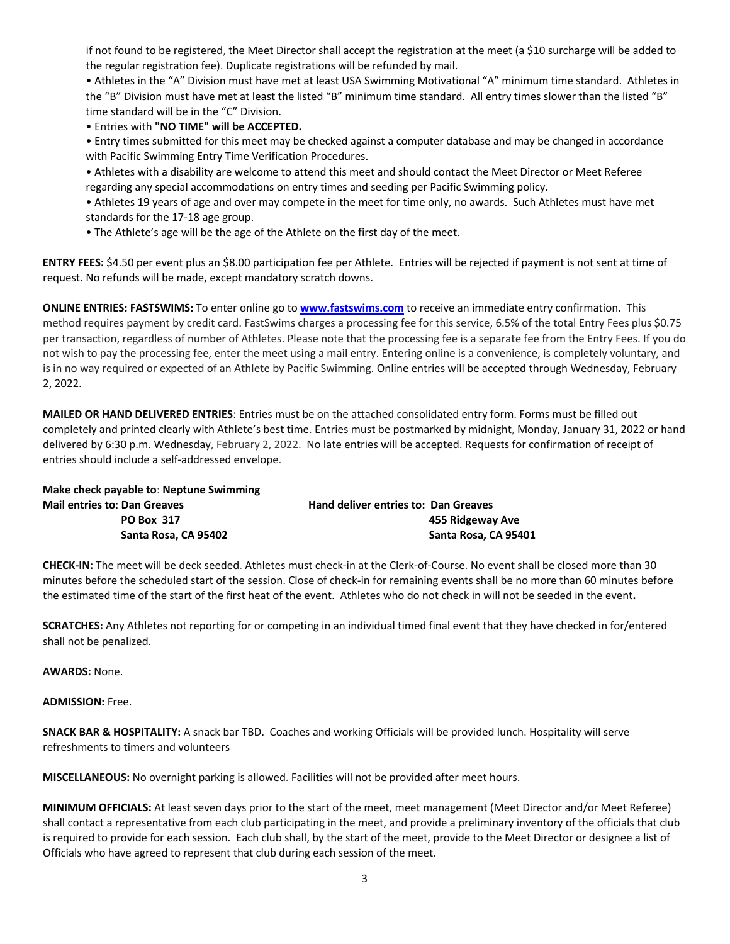if not found to be registered, the Meet Director shall accept the registration at the meet (a \$10 surcharge will be added to the regular registration fee). Duplicate registrations will be refunded by mail.

• Athletes in the "A" Division must have met at least USA Swimming Motivational "A" minimum time standard. Athletes in the "B" Division must have met at least the listed "B" minimum time standard. All entry times slower than the listed "B" time standard will be in the "C" Division.

• Entries with **"NO TIME" will be ACCEPTED.**

• Entry times submitted for this meet may be checked against a computer database and may be changed in accordance with Pacific Swimming Entry Time Verification Procedures.

• Athletes with a disability are welcome to attend this meet and should contact the Meet Director or Meet Referee regarding any special accommodations on entry times and seeding per Pacific Swimming policy.

• Athletes 19 years of age and over may compete in the meet for time only, no awards. Such Athletes must have met standards for the 17-18 age group.

• The Athlete's age will be the age of the Athlete on the first day of the meet.

**ENTRY FEES:** \$4.50 per event plus an \$8.00 participation fee per Athlete. Entries will be rejected if payment is not sent at time of request. No refunds will be made, except mandatory scratch downs.

**ONLINE ENTRIES: FASTSWIMS:** To enter online go to **www.fastswims.com** to receive an immediate entry confirmation. This method requires payment by credit card. FastSwims charges a processing fee for this service, 6.5% of the total Entry Fees plus \$0.75 per transaction, regardless of number of Athletes. Please note that the processing fee is a separate fee from the Entry Fees. If you do not wish to pay the processing fee, enter the meet using a mail entry. Entering online is a convenience, is completely voluntary, and is in no way required or expected of an Athlete by Pacific Swimming. Online entries will be accepted through Wednesday, February 2, 2022.

**MAILED OR HAND DELIVERED ENTRIES**: Entries must be on the attached consolidated entry form. Forms must be filled out completely and printed clearly with Athlete's best time. Entries must be postmarked by midnight, Monday, January 31, 2022 or hand delivered by 6:30 p.m. Wednesday, February 2, 2022. No late entries will be accepted. Requests for confirmation of receipt of entries should include a self-addressed envelope.

**Make check payable to**: **Neptune Swimming Mail entries to**: **Dan Greaves Hand deliver entries to: Dan Greaves PO Box 317 455 Ridgeway Ave Santa Rosa, CA 95402 Santa Rosa, CA 95401**

**CHECK-IN:** The meet will be deck seeded. Athletes must check-in at the Clerk-of-Course. No event shall be closed more than 30 minutes before the scheduled start of the session. Close of check-in for remaining events shall be no more than 60 minutes before the estimated time of the start of the first heat of the event. Athletes who do not check in will not be seeded in the event**.**

**SCRATCHES:** Any Athletes not reporting for or competing in an individual timed final event that they have checked in for/entered shall not be penalized.

**AWARDS:** None.

**ADMISSION:** Free.

**SNACK BAR & HOSPITALITY:** A snack bar TBD. Coaches and working Officials will be provided lunch. Hospitality will serve refreshments to timers and volunteers

**MISCELLANEOUS:** No overnight parking is allowed. Facilities will not be provided after meet hours.

**MINIMUM OFFICIALS:** At least seven days prior to the start of the meet, meet management (Meet Director and/or Meet Referee) shall contact a representative from each club participating in the meet, and provide a preliminary inventory of the officials that club is required to provide for each session. Each club shall, by the start of the meet, provide to the Meet Director or designee a list of Officials who have agreed to represent that club during each session of the meet.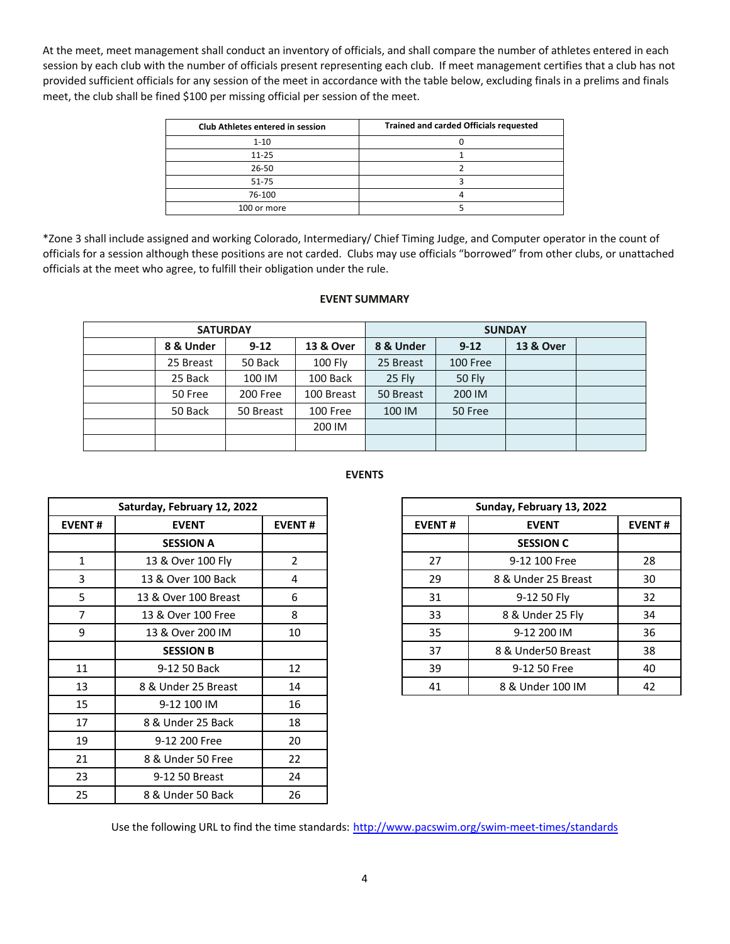At the meet, meet management shall conduct an inventory of officials, and shall compare the number of athletes entered in each session by each club with the number of officials present representing each club. If meet management certifies that a club has not provided sufficient officials for any session of the meet in accordance with the table below, excluding finals in a prelims and finals meet, the club shall be fined \$100 per missing official per session of the meet.

| Club Athletes entered in session | <b>Trained and carded Officials requested</b> |
|----------------------------------|-----------------------------------------------|
| $1 - 10$                         |                                               |
| $11 - 25$                        |                                               |
| 26-50                            |                                               |
| 51-75                            |                                               |
| 76-100                           |                                               |
| 100 or more                      |                                               |

\*Zone 3 shall include assigned and working Colorado, Intermediary/ Chief Timing Judge, and Computer operator in the count of officials for a session although these positions are not carded. Clubs may use officials "borrowed" from other clubs, or unattached officials at the meet who agree, to fulfill their obligation under the rule.

## **EVENT SUMMARY**

| <b>SATURDAY</b> |           |           | <b>SUNDAY</b> |           |               |           |  |
|-----------------|-----------|-----------|---------------|-----------|---------------|-----------|--|
|                 | 8 & Under | $9 - 12$  | 13 & Over     | 8 & Under | $9 - 12$      | 13 & Over |  |
|                 | 25 Breast | 50 Back   | 100 Fly       | 25 Breast | 100 Free      |           |  |
|                 | 25 Back   | 100 IM    | 100 Back      | 25 Fly    | <b>50 Fly</b> |           |  |
|                 | 50 Free   | 200 Free  | 100 Breast    | 50 Breast | 200 IM        |           |  |
|                 | 50 Back   | 50 Breast | 100 Free      | 100 IM    | 50 Free       |           |  |
|                 |           |           | 200 IM        |           |               |           |  |
|                 |           |           |               |           |               |           |  |
|                 |           |           |               |           |               |           |  |

**EVENTS** 

|                | Saturday, February 12, 2022 |               |               | Sunday, February 13, 2022 |
|----------------|-----------------------------|---------------|---------------|---------------------------|
| <b>EVENT#</b>  | <b>EVENT</b>                | <b>EVENT#</b> | <b>EVENT#</b> | <b>EVENT</b>              |
|                | <b>SESSION A</b>            |               |               | <b>SESSION C</b>          |
| 1              | 13 & Over 100 Fly           | $\mathcal{P}$ | 27            | 9-12 100 Free             |
| 3              | 13 & Over 100 Back          | 4             | 29            | 8 & Under 25 Breast       |
| 5              | 13 & Over 100 Breast        | 6             | 31            | 9-12 50 Fly               |
| $\overline{7}$ | 13 & Over 100 Free          | 8             | 33            | 8 & Under 25 Fly          |
| 9              | 13 & Over 200 IM            | 10            | 35            | 9-12 200 IM               |
|                | <b>SESSION B</b>            |               | 37            | 8 & Under50 Breast        |
| 11             | 9-12 50 Back                | 12            | 39            | 9-12 50 Free              |
| 13             | 8 & Under 25 Breast         | 14            | 41            | 8 & Under 100 IM          |
| 15             | 9-12 100 IM                 | 16            |               |                           |
| 17             | 8 & Under 25 Back           | 18            |               |                           |
| 19             | 9-12 200 Free               | 20            |               |                           |
| 21             | 8 & Under 50 Free           | 22            |               |                           |
| 23             | 9-12 50 Breast              | 24            |               |                           |
| 25             | 8 & Under 50 Back           | 26            |               |                           |

|               | Saturday, February 12, 2022 |               |
|---------------|-----------------------------|---------------|
| <b>EVENT#</b> | <b>EVENT</b>                | <b>EVENT#</b> |
|               | <b>SESSION A</b>            |               |
|               | 13 & Over 100 Fly           |               |
| 3             | 13 & Over 100 Back          | 4             |
| 5             | 13 & Over 100 Breast        | 6             |
|               | 13 & Over 100 Free          | 8             |
| 9             | 13 & Over 200 IM            | 10            |
|               | <b>SESSION B</b>            |               |
| 11            | 9-12 50 Back                | 12            |
| 13            | 8 & Under 25 Breast         | 14            |

Use the following URL to find the time standards: http://www.pacswim.org/swim-meet-times/standards